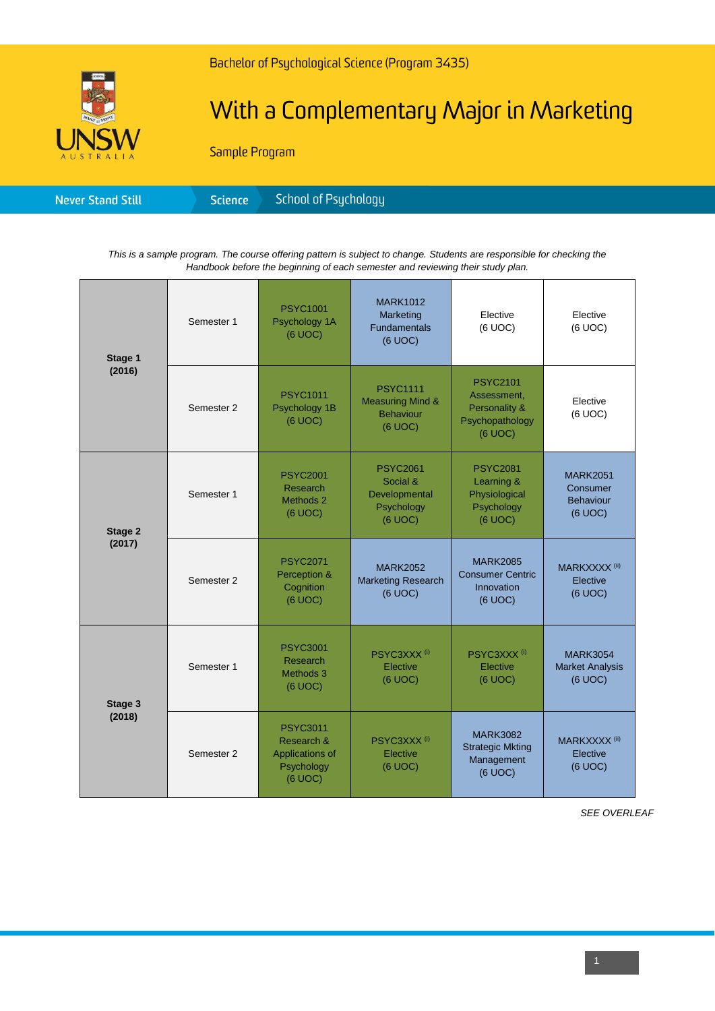

## With a Complementary Major in Marketing

Sample Program

*This is a sample program. The course offering pattern is subject to change. Students are responsible for checking the Handbook before the beginning of each semester and reviewing their study plan.*

| Stage 1<br>(2016) | Semester 1 | <b>PSYC1001</b><br>Psychology 1A<br>(6 UOC)                               | <b>MARK1012</b><br>Marketing<br><b>Fundamentals</b><br>(6 UOC)                | Elective<br>(6 UOC)                                                           | Elective<br>(6 UOC)                                        |
|-------------------|------------|---------------------------------------------------------------------------|-------------------------------------------------------------------------------|-------------------------------------------------------------------------------|------------------------------------------------------------|
|                   | Semester 2 | <b>PSYC1011</b><br>Psychology 1B<br>(6 UOC)                               | <b>PSYC1111</b><br><b>Measuring Mind &amp;</b><br><b>Behaviour</b><br>(6 UOC) | <b>PSYC2101</b><br>Assessment.<br>Personality &<br>Psychopathology<br>(6 UOC) | Elective<br>(6 UOC)                                        |
| Stage 2<br>(2017) | Semester 1 | <b>PSYC2001</b><br>Research<br>Methods 2<br>(6 UOC)                       | <b>PSYC2061</b><br>Social &<br>Developmental<br>Psychology<br>(6 UOC)         | <b>PSYC2081</b><br>Learning &<br>Physiological<br>Psychology<br>(6 UOC)       | <b>MARK2051</b><br>Consumer<br><b>Behaviour</b><br>(6 UOC) |
|                   | Semester 2 | <b>PSYC2071</b><br>Perception &<br>Cognition<br>$(6 \text{ UOC})$         | <b>MARK2052</b><br><b>Marketing Research</b><br>(6 UOC)                       | <b>MARK2085</b><br><b>Consumer Centric</b><br>Innovation<br>(6 UOC)           | MARKXXXX <sup>(ii)</sup><br>Elective<br>(6 UOC)            |
| Stage 3<br>(2018) | Semester 1 | <b>PSYC3001</b><br>Research<br>Methods 3<br>(6 UOC)                       | PSYC3XXX <sup>(i)</sup><br>Elective<br>$(6$ UOC $)$                           | PSYC3XXX <sup>(i)</sup><br>Elective<br>(6 UOC)                                | <b>MARK3054</b><br><b>Market Analysis</b><br>(6 UOC)       |
|                   | Semester 2 | <b>PSYC3011</b><br>Research &<br>Applications of<br>Psychology<br>(6 UOC) | PSYC3XXX <sup>(i)</sup><br>Elective<br>(6 UOC)                                | <b>MARK3082</b><br><b>Strategic Mkting</b><br>Management<br>(6 UOC)           | MARKXXXX <sup>(ii)</sup><br>Elective<br>(6 UOC)            |

*SEE OVERLEAF*